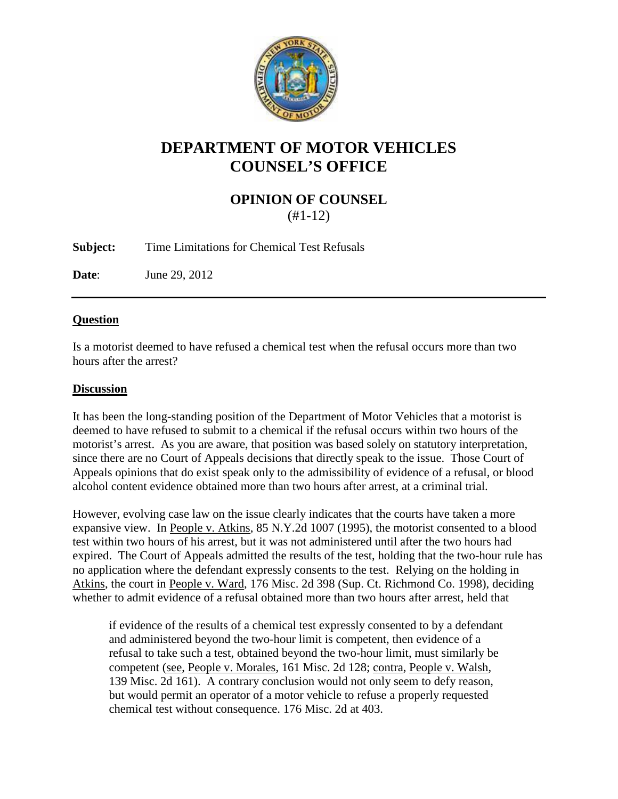

## **DEPARTMENT OF MOTOR VEHICLES COUNSEL'S OFFICE**

## **OPINION OF COUNSEL** (#1-12)

**Subject:** Time Limitations for Chemical Test Refusals

**Date**: June 29, 2012

## **Question**

Is a motorist deemed to have refused a chemical test when the refusal occurs more than two hours after the arrest?

## **Discussion**

It has been the long-standing position of the Department of Motor Vehicles that a motorist is deemed to have refused to submit to a chemical if the refusal occurs within two hours of the motorist's arrest. As you are aware, that position was based solely on statutory interpretation, since there are no Court of Appeals decisions that directly speak to the issue. Those Court of Appeals opinions that do exist speak only to the admissibility of evidence of a refusal, or blood alcohol content evidence obtained more than two hours after arrest, at a criminal trial.

However, evolving case law on the issue clearly indicates that the courts have taken a more expansive view. In People v. Atkins, 85 N.Y.2d 1007 (1995), the motorist consented to a blood test within two hours of his arrest, but it was not administered until after the two hours had expired. The Court of Appeals admitted the results of the test, holding that the two-hour rule has no application where the defendant expressly consents to the test. Relying on the holding in Atkins, the court in People v. Ward, 176 Misc. 2d 398 (Sup. Ct. Richmond Co. 1998), deciding whether to admit evidence of a refusal obtained more than two hours after arrest, held that

if evidence of the results of a chemical test expressly consented to by a defendant and administered beyond the two-hour limit is competent, then evidence of a refusal to take such a test, obtained beyond the two-hour limit, must similarly be competent (see, People v. Morales, 161 Misc. 2d 128; contra, People v. Walsh, 139 Misc. 2d 161). A contrary conclusion would not only seem to defy reason, but would permit an operator of a motor vehicle to refuse a properly requested chemical test without consequence. 176 Misc. 2d at 403.